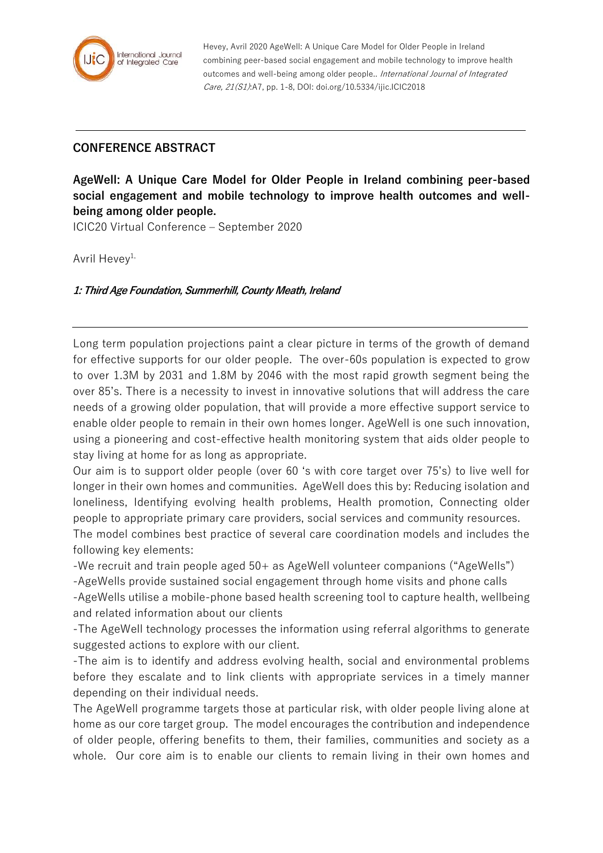

Hevey, Avril 2020 AgeWell: A Unique Care Model for Older People in Ireland combining peer-based social engagement and mobile technology to improve health outcomes and well-being among older people.. International Journal of Integrated Care, 21(S1):A7, pp. 1-8, DOI: doi.org/10.5334/ijic.ICIC2018

## **CONFERENCE ABSTRACT**

**AgeWell: A Unique Care Model for Older People in Ireland combining peer-based social engagement and mobile technology to improve health outcomes and wellbeing among older people.**

ICIC20 Virtual Conference – September 2020

Avril Hevev<sup>1,</sup>

**1: Third Age Foundation, Summerhill, County Meath, Ireland**

Long term population projections paint a clear picture in terms of the growth of demand for effective supports for our older people. The over-60s population is expected to grow to over 1.3M by 2031 and 1.8M by 2046 with the most rapid growth segment being the over 85's. There is a necessity to invest in innovative solutions that will address the care needs of a growing older population, that will provide a more effective support service to enable older people to remain in their own homes longer. AgeWell is one such innovation, using a pioneering and cost-effective health monitoring system that aids older people to stay living at home for as long as appropriate.

Our aim is to support older people (over 60 's with core target over 75's) to live well for longer in their own homes and communities. AgeWell does this by: Reducing isolation and loneliness, Identifying evolving health problems, Health promotion, Connecting older people to appropriate primary care providers, social services and community resources.

The model combines best practice of several care coordination models and includes the following key elements:

-We recruit and train people aged 50+ as AgeWell volunteer companions ("AgeWells")

-AgeWells provide sustained social engagement through home visits and phone calls

-AgeWells utilise a mobile-phone based health screening tool to capture health, wellbeing and related information about our clients

-The AgeWell technology processes the information using referral algorithms to generate suggested actions to explore with our client.

-The aim is to identify and address evolving health, social and environmental problems before they escalate and to link clients with appropriate services in a timely manner depending on their individual needs.

The AgeWell programme targets those at particular risk, with older people living alone at home as our core target group. The model encourages the contribution and independence of older people, offering benefits to them, their families, communities and society as a whole. Our core aim is to enable our clients to remain living in their own homes and